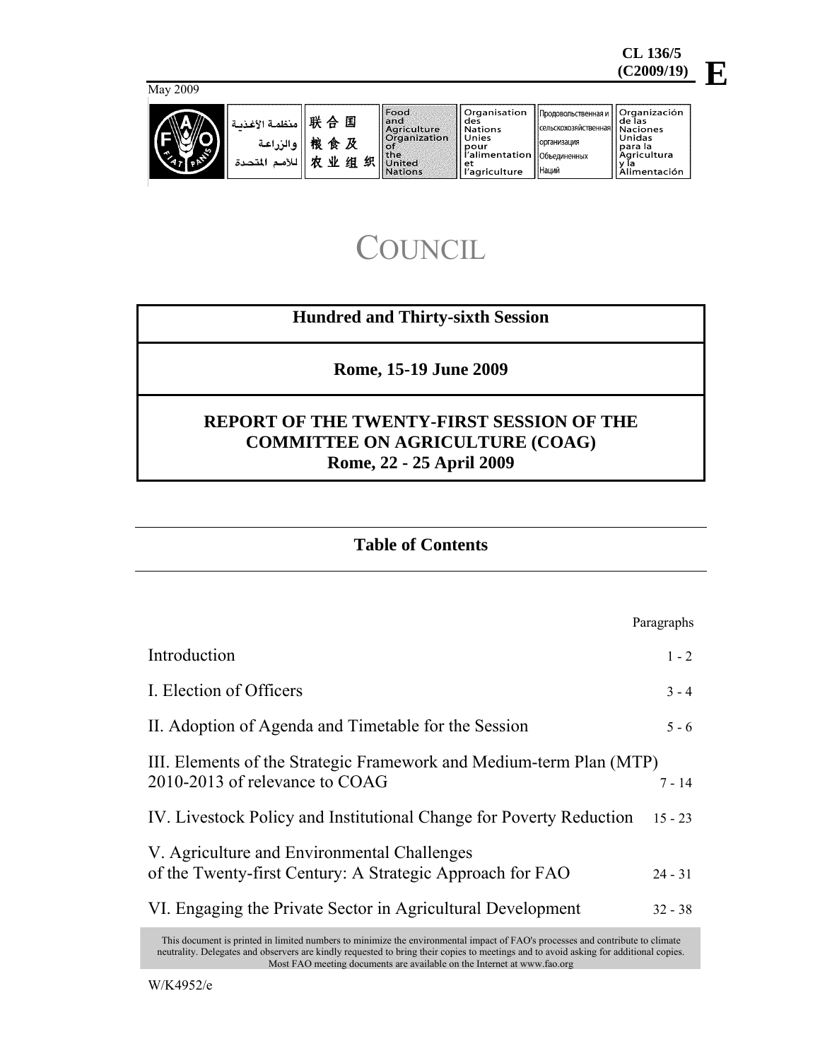

| May 2009 |                                                          |                                        |                                                                                                       |                                                                                                                |                                                                                                     |                                                                                       |
|----------|----------------------------------------------------------|----------------------------------------|-------------------------------------------------------------------------------------------------------|----------------------------------------------------------------------------------------------------------------|-----------------------------------------------------------------------------------------------------|---------------------------------------------------------------------------------------|
| $\sim$   | منظمة الأغذمة<br><sub>ا</sub> والزراعة<br>اللأمم المتحدة | 联<br>国<br>合<br>桹<br>食及<br>业组<br>织<br>巾 | Food<br>land<br>Agriculture<br><b>Organization</b><br><b>BOT</b><br>l the<br><b>United</b><br>Nations | Organisation<br>des<br><b>Nations</b><br>Unies<br>pour<br>l'alimentation   Объединенных<br>et<br>l'agriculture | `   Продовольственная и  <br>Псельскохозяйственная  Naciones<br><b>Порганизация</b><br><b>Наций</b> | <b>Organización</b><br>l de las<br>Unidas<br>l para la<br>Aaricultura<br>Alimentación |

# **COUNCIL**

# **Hundred and Thirty-sixth Session**

**Rome, 15-19 June 2009** 

# **REPORT OF THE TWENTY-FIRST SESSION OF THE COMMITTEE ON AGRICULTURE (COAG) Rome, 22 - 25 April 2009**

# **Table of Contents**

|                                                                                                                               | Paragraphs |  |
|-------------------------------------------------------------------------------------------------------------------------------|------------|--|
| Introduction                                                                                                                  | $1 - 2$    |  |
| I. Election of Officers                                                                                                       | $3 - 4$    |  |
| II. Adoption of Agenda and Timetable for the Session                                                                          | $5 - 6$    |  |
| III. Elements of the Strategic Framework and Medium-term Plan (MTP)<br>2010-2013 of relevance to COAG<br>$7 - 14$             |            |  |
| IV. Livestock Policy and Institutional Change for Poverty Reduction                                                           | $15 - 23$  |  |
| V. Agriculture and Environmental Challenges<br>of the Twenty-first Century: A Strategic Approach for FAO                      | $24 - 31$  |  |
| VI. Engaging the Private Sector in Agricultural Development                                                                   | $32 - 38$  |  |
| This document is printed in limited numbers to minimize the environmental impact of FAO's processes and contribute to climate |            |  |

neutrality. Delegates and observers are kindly requested to bring their copies to meetings and to avoid asking for additional copies. Most FAO meeting documents are available on the Internet at www.fao.org

**E**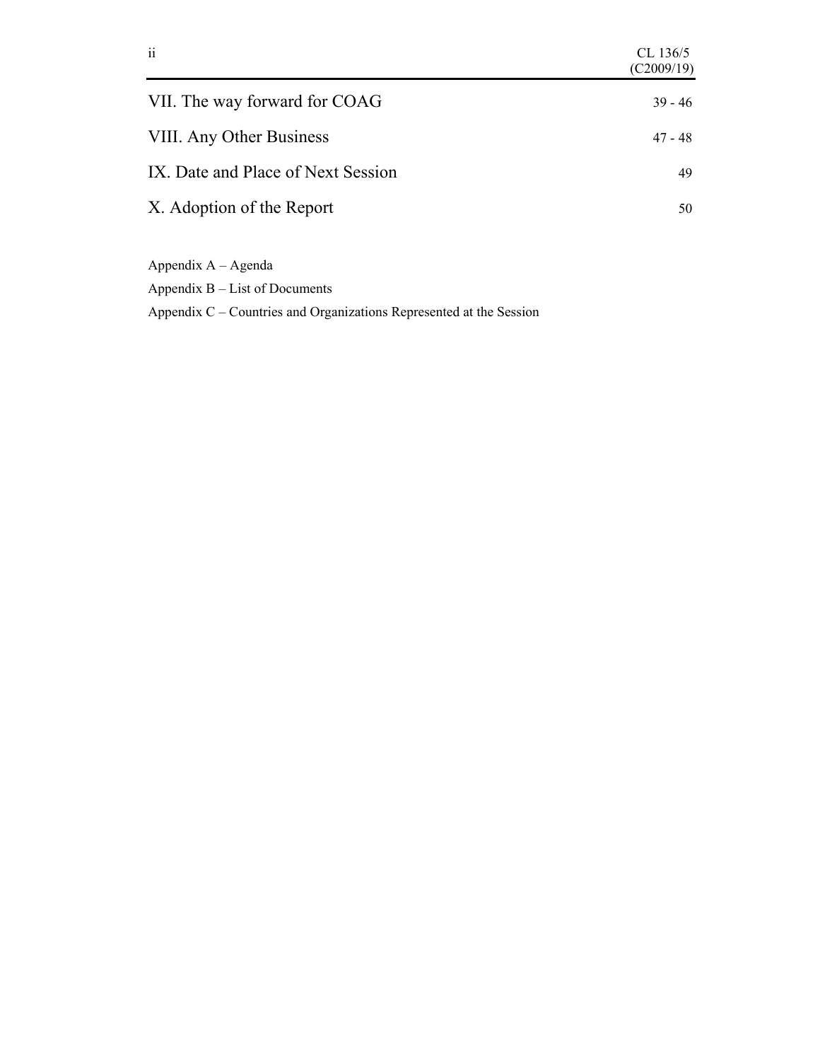| $\overline{\mathbf{i}}$            | CL 136/5<br>(C2009/19) |
|------------------------------------|------------------------|
| VII. The way forward for COAG      | $39 - 46$              |
| VIII. Any Other Business           | 47 - 48                |
| IX. Date and Place of Next Session | 49                     |
| X. Adoption of the Report          | 50                     |
|                                    |                        |

Appendix A – Agenda

Appendix B – List of Documents

Appendix C – Countries and Organizations Represented at the Session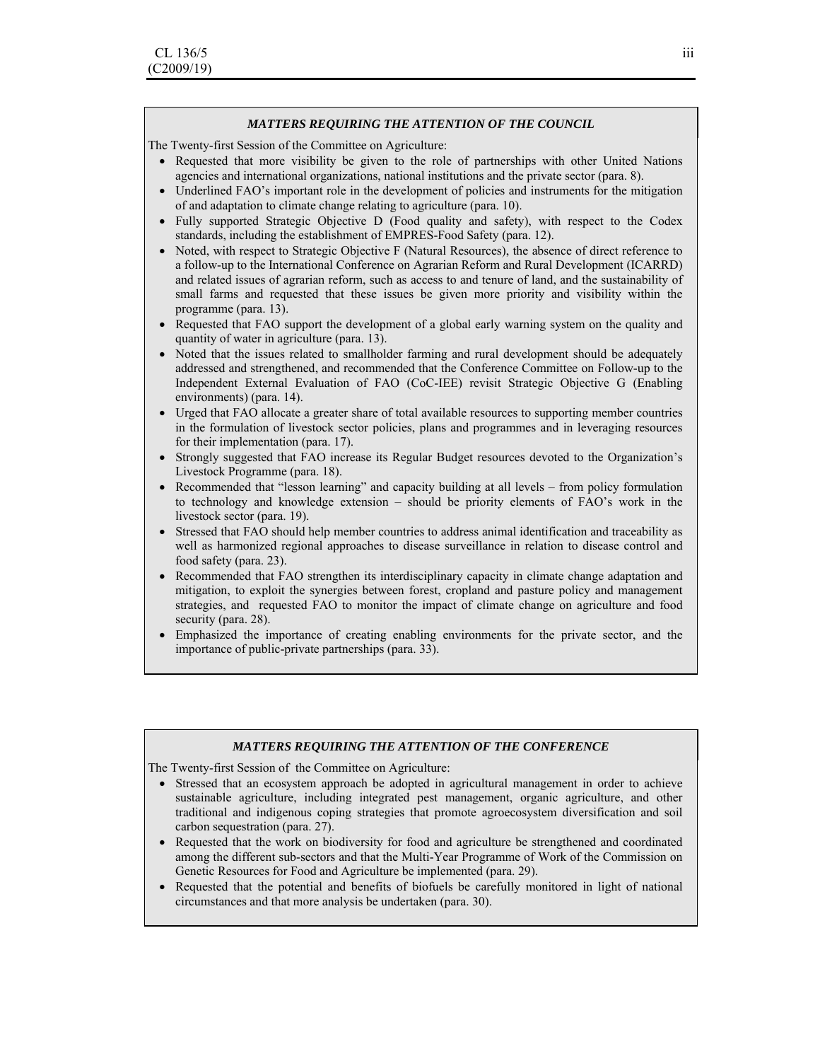#### *MATTERS REQUIRING THE ATTENTION OF THE COUNCIL*

The Twenty-first Session of the Committee on Agriculture:

- Requested that more visibility be given to the role of partnerships with other United Nations agencies and international organizations, national institutions and the private sector (para. 8).
- Underlined FAO's important role in the development of policies and instruments for the mitigation of and adaptation to climate change relating to agriculture (para. 10).
- Fully supported Strategic Objective D (Food quality and safety), with respect to the Codex standards, including the establishment of EMPRES-Food Safety (para. 12).
- Noted, with respect to Strategic Objective F (Natural Resources), the absence of direct reference to a follow-up to the International Conference on Agrarian Reform and Rural Development (ICARRD) and related issues of agrarian reform, such as access to and tenure of land, and the sustainability of small farms and requested that these issues be given more priority and visibility within the programme (para. 13).
- Requested that FAO support the development of a global early warning system on the quality and quantity of water in agriculture (para. 13).
- Noted that the issues related to smallholder farming and rural development should be adequately addressed and strengthened, and recommended that the Conference Committee on Follow-up to the Independent External Evaluation of FAO (CoC-IEE) revisit Strategic Objective G (Enabling environments) (para. 14).
- Urged that FAO allocate a greater share of total available resources to supporting member countries in the formulation of livestock sector policies, plans and programmes and in leveraging resources for their implementation (para. 17).
- Strongly suggested that FAO increase its Regular Budget resources devoted to the Organization's Livestock Programme (para. 18).
- Recommended that "lesson learning" and capacity building at all levels from policy formulation to technology and knowledge extension – should be priority elements of FAO's work in the livestock sector (para. 19).
- Stressed that FAO should help member countries to address animal identification and traceability as well as harmonized regional approaches to disease surveillance in relation to disease control and food safety (para. 23).
- Recommended that FAO strengthen its interdisciplinary capacity in climate change adaptation and mitigation, to exploit the synergies between forest, cropland and pasture policy and management strategies, and requested FAO to monitor the impact of climate change on agriculture and food security (para. 28).
- Emphasized the importance of creating enabling environments for the private sector, and the importance of public-private partnerships (para. 33).

#### *MATTERS REQUIRING THE ATTENTION OF THE CONFERENCE*

The Twenty-first Session of the Committee on Agriculture:

- Stressed that an ecosystem approach be adopted in agricultural management in order to achieve sustainable agriculture, including integrated pest management, organic agriculture, and other traditional and indigenous coping strategies that promote agroecosystem diversification and soil carbon sequestration (para. 27).
- Requested that the work on biodiversity for food and agriculture be strengthened and coordinated among the different sub-sectors and that the Multi-Year Programme of Work of the Commission on Genetic Resources for Food and Agriculture be implemented (para. 29).
- Requested that the potential and benefits of biofuels be carefully monitored in light of national circumstances and that more analysis be undertaken (para. 30).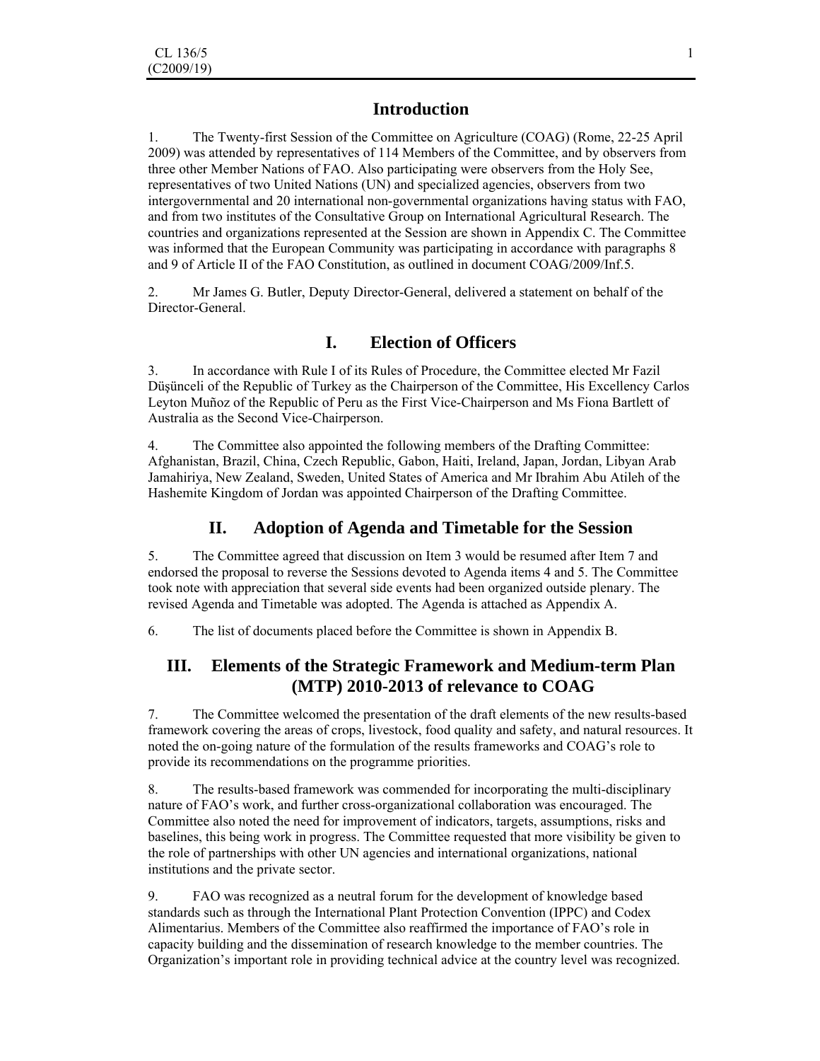## **Introduction**

1. The Twenty-first Session of the Committee on Agriculture (COAG) (Rome, 22-25 April 2009) was attended by representatives of 114 Members of the Committee, and by observers from three other Member Nations of FAO. Also participating were observers from the Holy See, representatives of two United Nations (UN) and specialized agencies, observers from two intergovernmental and 20 international non-governmental organizations having status with FAO, and from two institutes of the Consultative Group on International Agricultural Research. The countries and organizations represented at the Session are shown in Appendix C. The Committee was informed that the European Community was participating in accordance with paragraphs 8 and 9 of Article II of the FAO Constitution, as outlined in document COAG/2009/Inf.5.

2. Mr James G. Butler, Deputy Director-General, delivered a statement on behalf of the Director-General.

# **I. Election of Officers**

3. In accordance with Rule I of its Rules of Procedure, the Committee elected Mr Fazil Düşünceli of the Republic of Turkey as the Chairperson of the Committee, His Excellency Carlos Leyton Muñoz of the Republic of Peru as the First Vice-Chairperson and Ms Fiona Bartlett of Australia as the Second Vice-Chairperson.

4. The Committee also appointed the following members of the Drafting Committee: Afghanistan, Brazil, China, Czech Republic, Gabon, Haiti, Ireland, Japan, Jordan, Libyan Arab Jamahiriya, New Zealand, Sweden, United States of America and Mr Ibrahim Abu Atileh of the Hashemite Kingdom of Jordan was appointed Chairperson of the Drafting Committee.

## **II. Adoption of Agenda and Timetable for the Session**

5. The Committee agreed that discussion on Item 3 would be resumed after Item 7 and endorsed the proposal to reverse the Sessions devoted to Agenda items 4 and 5. The Committee took note with appreciation that several side events had been organized outside plenary. The revised Agenda and Timetable was adopted. The Agenda is attached as Appendix A.

6. The list of documents placed before the Committee is shown in Appendix B.

## **III. Elements of the Strategic Framework and Medium-term Plan (MTP) 2010-2013 of relevance to COAG**

7. The Committee welcomed the presentation of the draft elements of the new results-based framework covering the areas of crops, livestock, food quality and safety, and natural resources. It noted the on-going nature of the formulation of the results frameworks and COAG's role to provide its recommendations on the programme priorities.

8. The results-based framework was commended for incorporating the multi-disciplinary nature of FAO's work, and further cross-organizational collaboration was encouraged. The Committee also noted the need for improvement of indicators, targets, assumptions, risks and baselines, this being work in progress. The Committee requested that more visibility be given to the role of partnerships with other UN agencies and international organizations, national institutions and the private sector.

9. FAO was recognized as a neutral forum for the development of knowledge based standards such as through the International Plant Protection Convention (IPPC) and Codex Alimentarius. Members of the Committee also reaffirmed the importance of FAO's role in capacity building and the dissemination of research knowledge to the member countries. The Organization's important role in providing technical advice at the country level was recognized.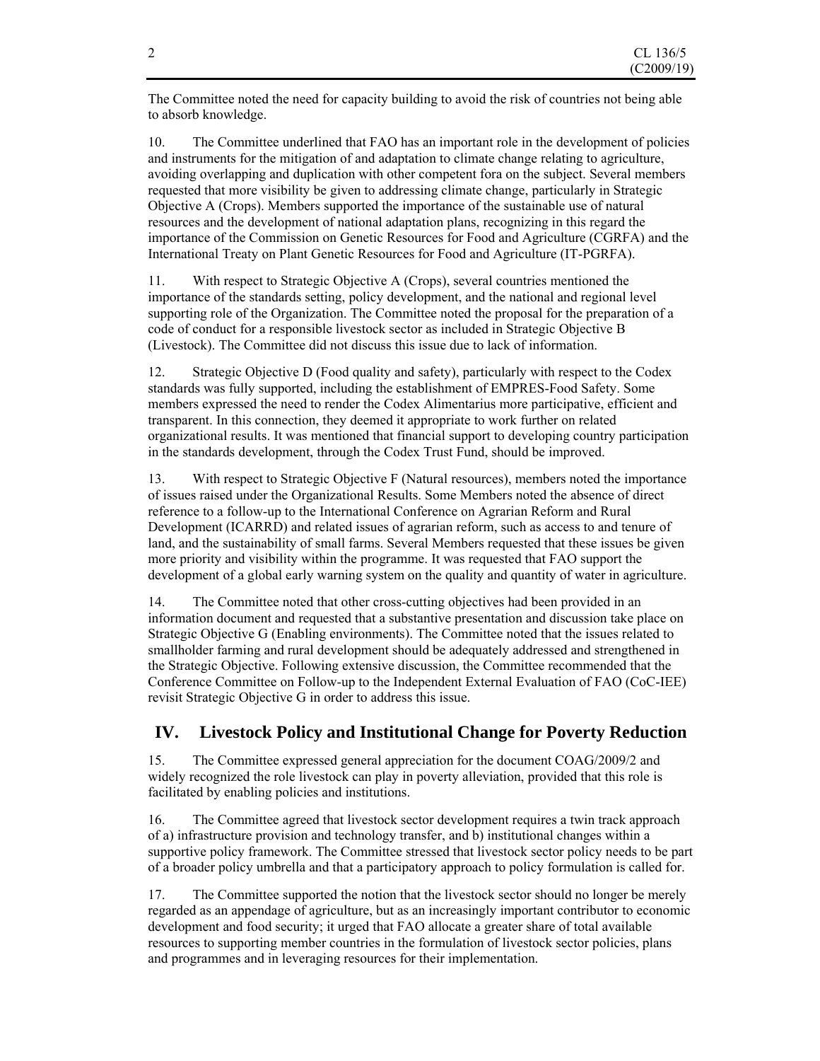The Committee noted the need for capacity building to avoid the risk of countries not being able to absorb knowledge.

10. The Committee underlined that FAO has an important role in the development of policies and instruments for the mitigation of and adaptation to climate change relating to agriculture, avoiding overlapping and duplication with other competent fora on the subject. Several members requested that more visibility be given to addressing climate change, particularly in Strategic Objective A (Crops). Members supported the importance of the sustainable use of natural resources and the development of national adaptation plans, recognizing in this regard the importance of the Commission on Genetic Resources for Food and Agriculture (CGRFA) and the International Treaty on Plant Genetic Resources for Food and Agriculture (IT-PGRFA).

11. With respect to Strategic Objective A (Crops), several countries mentioned the importance of the standards setting, policy development, and the national and regional level supporting role of the Organization. The Committee noted the proposal for the preparation of a code of conduct for a responsible livestock sector as included in Strategic Objective B (Livestock). The Committee did not discuss this issue due to lack of information.

12. Strategic Objective D (Food quality and safety), particularly with respect to the Codex standards was fully supported, including the establishment of EMPRES-Food Safety. Some members expressed the need to render the Codex Alimentarius more participative, efficient and transparent. In this connection, they deemed it appropriate to work further on related organizational results. It was mentioned that financial support to developing country participation in the standards development, through the Codex Trust Fund, should be improved.

13. With respect to Strategic Objective F (Natural resources), members noted the importance of issues raised under the Organizational Results. Some Members noted the absence of direct reference to a follow-up to the International Conference on Agrarian Reform and Rural Development (ICARRD) and related issues of agrarian reform, such as access to and tenure of land, and the sustainability of small farms. Several Members requested that these issues be given more priority and visibility within the programme. It was requested that FAO support the development of a global early warning system on the quality and quantity of water in agriculture.

14. The Committee noted that other cross-cutting objectives had been provided in an information document and requested that a substantive presentation and discussion take place on Strategic Objective G (Enabling environments). The Committee noted that the issues related to smallholder farming and rural development should be adequately addressed and strengthened in the Strategic Objective. Following extensive discussion, the Committee recommended that the Conference Committee on Follow-up to the Independent External Evaluation of FAO (CoC-IEE) revisit Strategic Objective G in order to address this issue.

# **IV. Livestock Policy and Institutional Change for Poverty Reduction**

15. The Committee expressed general appreciation for the document COAG/2009/2 and widely recognized the role livestock can play in poverty alleviation, provided that this role is facilitated by enabling policies and institutions.

16. The Committee agreed that livestock sector development requires a twin track approach of a) infrastructure provision and technology transfer, and b) institutional changes within a supportive policy framework. The Committee stressed that livestock sector policy needs to be part of a broader policy umbrella and that a participatory approach to policy formulation is called for.

17. The Committee supported the notion that the livestock sector should no longer be merely regarded as an appendage of agriculture, but as an increasingly important contributor to economic development and food security; it urged that FAO allocate a greater share of total available resources to supporting member countries in the formulation of livestock sector policies, plans and programmes and in leveraging resources for their implementation.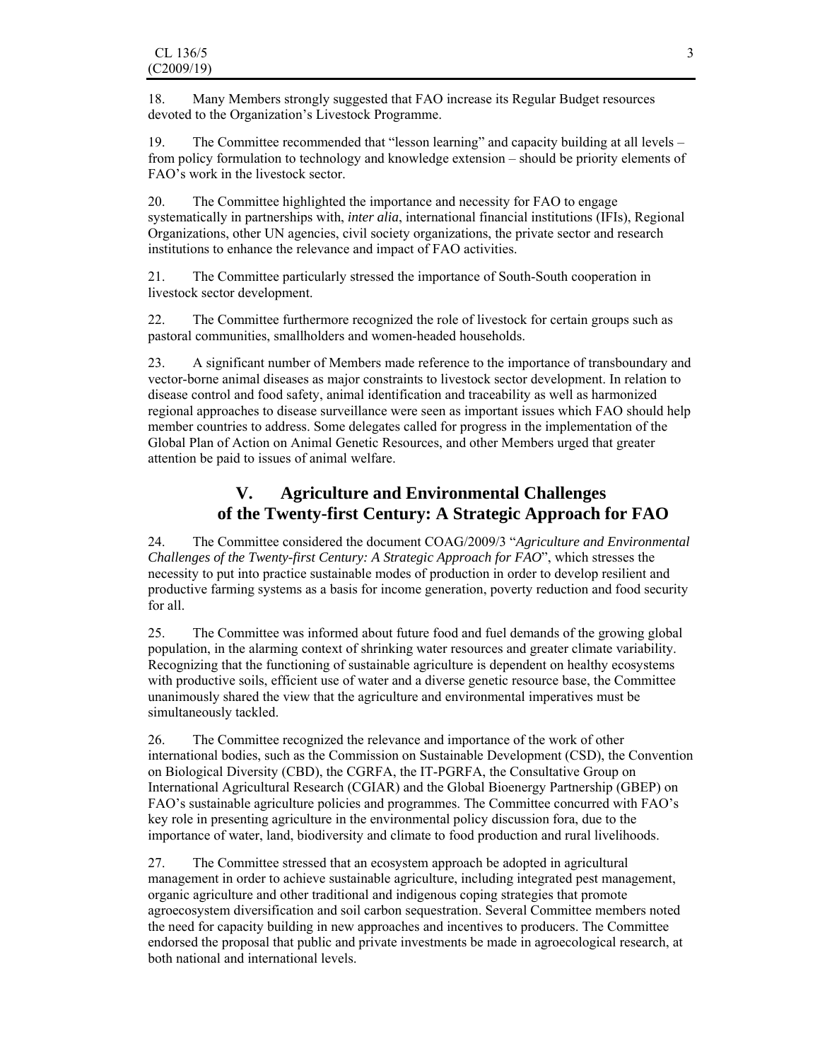18. Many Members strongly suggested that FAO increase its Regular Budget resources devoted to the Organization's Livestock Programme.

19. The Committee recommended that "lesson learning" and capacity building at all levels – from policy formulation to technology and knowledge extension – should be priority elements of FAO's work in the livestock sector.

20. The Committee highlighted the importance and necessity for FAO to engage systematically in partnerships with, *inter alia*, international financial institutions (IFIs), Regional Organizations, other UN agencies, civil society organizations, the private sector and research institutions to enhance the relevance and impact of FAO activities.

21. The Committee particularly stressed the importance of South-South cooperation in livestock sector development.

22. The Committee furthermore recognized the role of livestock for certain groups such as pastoral communities, smallholders and women-headed households.

23. A significant number of Members made reference to the importance of transboundary and vector-borne animal diseases as major constraints to livestock sector development. In relation to disease control and food safety, animal identification and traceability as well as harmonized regional approaches to disease surveillance were seen as important issues which FAO should help member countries to address. Some delegates called for progress in the implementation of the Global Plan of Action on Animal Genetic Resources, and other Members urged that greater attention be paid to issues of animal welfare.

# **V. Agriculture and Environmental Challenges of the Twenty-first Century: A Strategic Approach for FAO**

24. The Committee considered the document COAG/2009/3 "*Agriculture and Environmental Challenges of the Twenty-first Century: A Strategic Approach for FAO*", which stresses the necessity to put into practice sustainable modes of production in order to develop resilient and productive farming systems as a basis for income generation, poverty reduction and food security for all.

25. The Committee was informed about future food and fuel demands of the growing global population, in the alarming context of shrinking water resources and greater climate variability. Recognizing that the functioning of sustainable agriculture is dependent on healthy ecosystems with productive soils, efficient use of water and a diverse genetic resource base, the Committee unanimously shared the view that the agriculture and environmental imperatives must be simultaneously tackled.

26. The Committee recognized the relevance and importance of the work of other international bodies, such as the Commission on Sustainable Development (CSD), the Convention on Biological Diversity (CBD), the CGRFA, the IT-PGRFA, the Consultative Group on International Agricultural Research (CGIAR) and the Global Bioenergy Partnership (GBEP) on FAO's sustainable agriculture policies and programmes. The Committee concurred with FAO's key role in presenting agriculture in the environmental policy discussion fora, due to the importance of water, land, biodiversity and climate to food production and rural livelihoods.

27. The Committee stressed that an ecosystem approach be adopted in agricultural management in order to achieve sustainable agriculture, including integrated pest management, organic agriculture and other traditional and indigenous coping strategies that promote agroecosystem diversification and soil carbon sequestration. Several Committee members noted the need for capacity building in new approaches and incentives to producers. The Committee endorsed the proposal that public and private investments be made in agroecological research, at both national and international levels.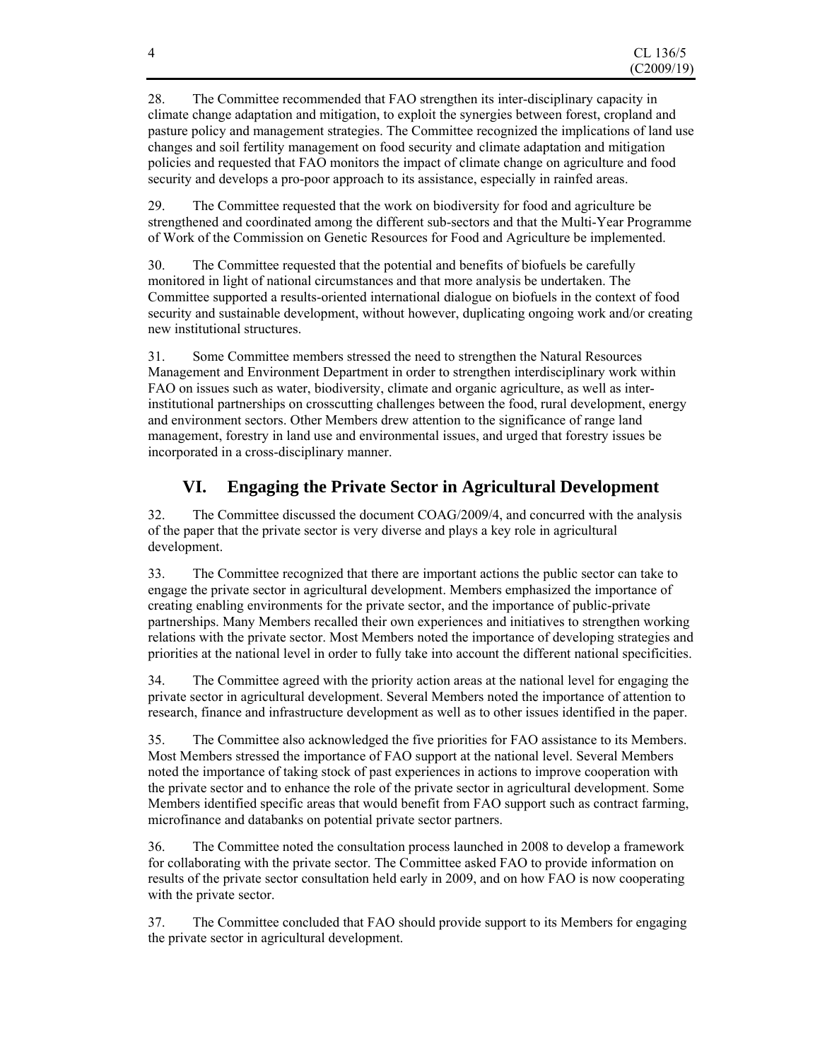28. The Committee recommended that FAO strengthen its inter-disciplinary capacity in climate change adaptation and mitigation, to exploit the synergies between forest, cropland and pasture policy and management strategies. The Committee recognized the implications of land use changes and soil fertility management on food security and climate adaptation and mitigation policies and requested that FAO monitors the impact of climate change on agriculture and food security and develops a pro-poor approach to its assistance, especially in rainfed areas.

29. The Committee requested that the work on biodiversity for food and agriculture be strengthened and coordinated among the different sub-sectors and that the Multi-Year Programme of Work of the Commission on Genetic Resources for Food and Agriculture be implemented.

30. The Committee requested that the potential and benefits of biofuels be carefully monitored in light of national circumstances and that more analysis be undertaken. The Committee supported a results-oriented international dialogue on biofuels in the context of food security and sustainable development, without however, duplicating ongoing work and/or creating new institutional structures.

31. Some Committee members stressed the need to strengthen the Natural Resources Management and Environment Department in order to strengthen interdisciplinary work within FAO on issues such as water, biodiversity, climate and organic agriculture, as well as interinstitutional partnerships on crosscutting challenges between the food, rural development, energy and environment sectors. Other Members drew attention to the significance of range land management, forestry in land use and environmental issues, and urged that forestry issues be incorporated in a cross-disciplinary manner.

# **VI. Engaging the Private Sector in Agricultural Development**

32. The Committee discussed the document COAG/2009/4, and concurred with the analysis of the paper that the private sector is very diverse and plays a key role in agricultural development.

33. The Committee recognized that there are important actions the public sector can take to engage the private sector in agricultural development. Members emphasized the importance of creating enabling environments for the private sector, and the importance of public-private partnerships. Many Members recalled their own experiences and initiatives to strengthen working relations with the private sector. Most Members noted the importance of developing strategies and priorities at the national level in order to fully take into account the different national specificities.

34. The Committee agreed with the priority action areas at the national level for engaging the private sector in agricultural development. Several Members noted the importance of attention to research, finance and infrastructure development as well as to other issues identified in the paper.

35. The Committee also acknowledged the five priorities for FAO assistance to its Members. Most Members stressed the importance of FAO support at the national level. Several Members noted the importance of taking stock of past experiences in actions to improve cooperation with the private sector and to enhance the role of the private sector in agricultural development. Some Members identified specific areas that would benefit from FAO support such as contract farming, microfinance and databanks on potential private sector partners.

36. The Committee noted the consultation process launched in 2008 to develop a framework for collaborating with the private sector. The Committee asked FAO to provide information on results of the private sector consultation held early in 2009, and on how FAO is now cooperating with the private sector.

37. The Committee concluded that FAO should provide support to its Members for engaging the private sector in agricultural development.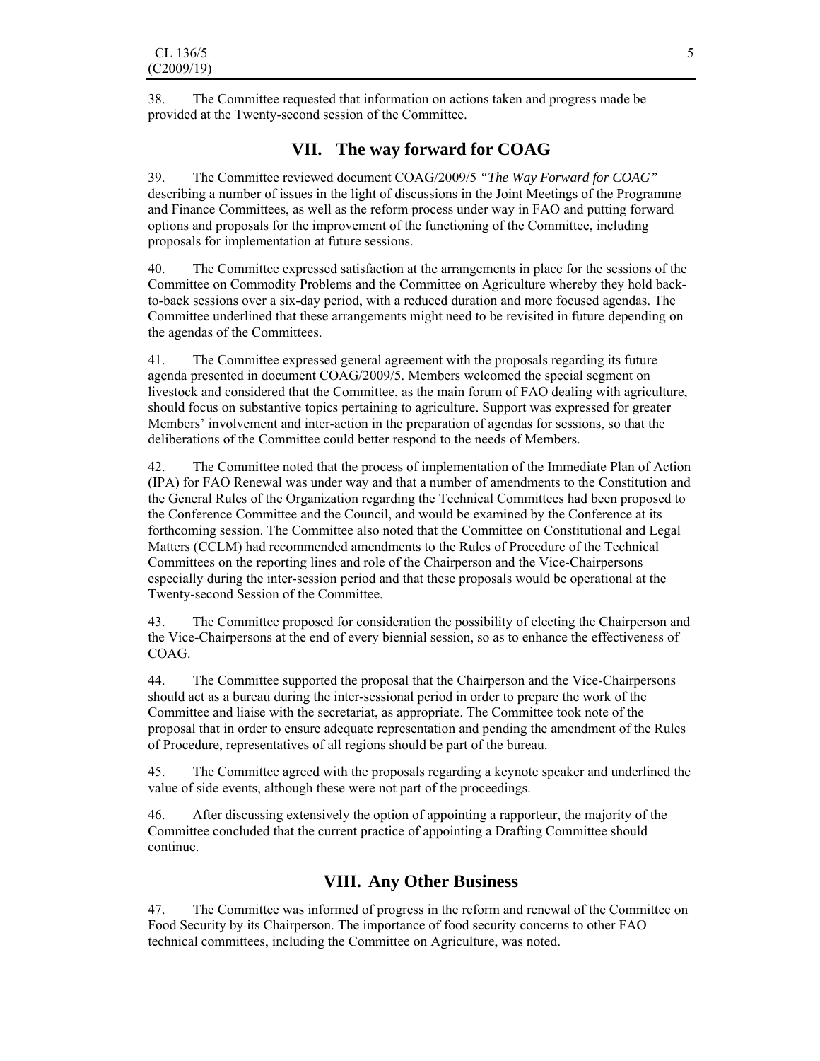38. The Committee requested that information on actions taken and progress made be provided at the Twenty-second session of the Committee.

## **VII. The way forward for COAG**

39. The Committee reviewed document COAG/2009/5 *"The Way Forward for COAG"* describing a number of issues in the light of discussions in the Joint Meetings of the Programme and Finance Committees, as well as the reform process under way in FAO and putting forward options and proposals for the improvement of the functioning of the Committee, including proposals for implementation at future sessions.

40. The Committee expressed satisfaction at the arrangements in place for the sessions of the Committee on Commodity Problems and the Committee on Agriculture whereby they hold backto-back sessions over a six-day period, with a reduced duration and more focused agendas. The Committee underlined that these arrangements might need to be revisited in future depending on the agendas of the Committees.

41. The Committee expressed general agreement with the proposals regarding its future agenda presented in document COAG/2009/5. Members welcomed the special segment on livestock and considered that the Committee, as the main forum of FAO dealing with agriculture, should focus on substantive topics pertaining to agriculture. Support was expressed for greater Members' involvement and inter-action in the preparation of agendas for sessions, so that the deliberations of the Committee could better respond to the needs of Members.

42. The Committee noted that the process of implementation of the Immediate Plan of Action (IPA) for FAO Renewal was under way and that a number of amendments to the Constitution and the General Rules of the Organization regarding the Technical Committees had been proposed to the Conference Committee and the Council, and would be examined by the Conference at its forthcoming session. The Committee also noted that the Committee on Constitutional and Legal Matters (CCLM) had recommended amendments to the Rules of Procedure of the Technical Committees on the reporting lines and role of the Chairperson and the Vice-Chairpersons especially during the inter-session period and that these proposals would be operational at the Twenty-second Session of the Committee.

43. The Committee proposed for consideration the possibility of electing the Chairperson and the Vice-Chairpersons at the end of every biennial session, so as to enhance the effectiveness of COAG.

44. The Committee supported the proposal that the Chairperson and the Vice-Chairpersons should act as a bureau during the inter-sessional period in order to prepare the work of the Committee and liaise with the secretariat, as appropriate. The Committee took note of the proposal that in order to ensure adequate representation and pending the amendment of the Rules of Procedure, representatives of all regions should be part of the bureau.

45. The Committee agreed with the proposals regarding a keynote speaker and underlined the value of side events, although these were not part of the proceedings.

46. After discussing extensively the option of appointing a rapporteur, the majority of the Committee concluded that the current practice of appointing a Drafting Committee should continue.

# **VIII. Any Other Business**

47. The Committee was informed of progress in the reform and renewal of the Committee on Food Security by its Chairperson. The importance of food security concerns to other FAO technical committees, including the Committee on Agriculture, was noted.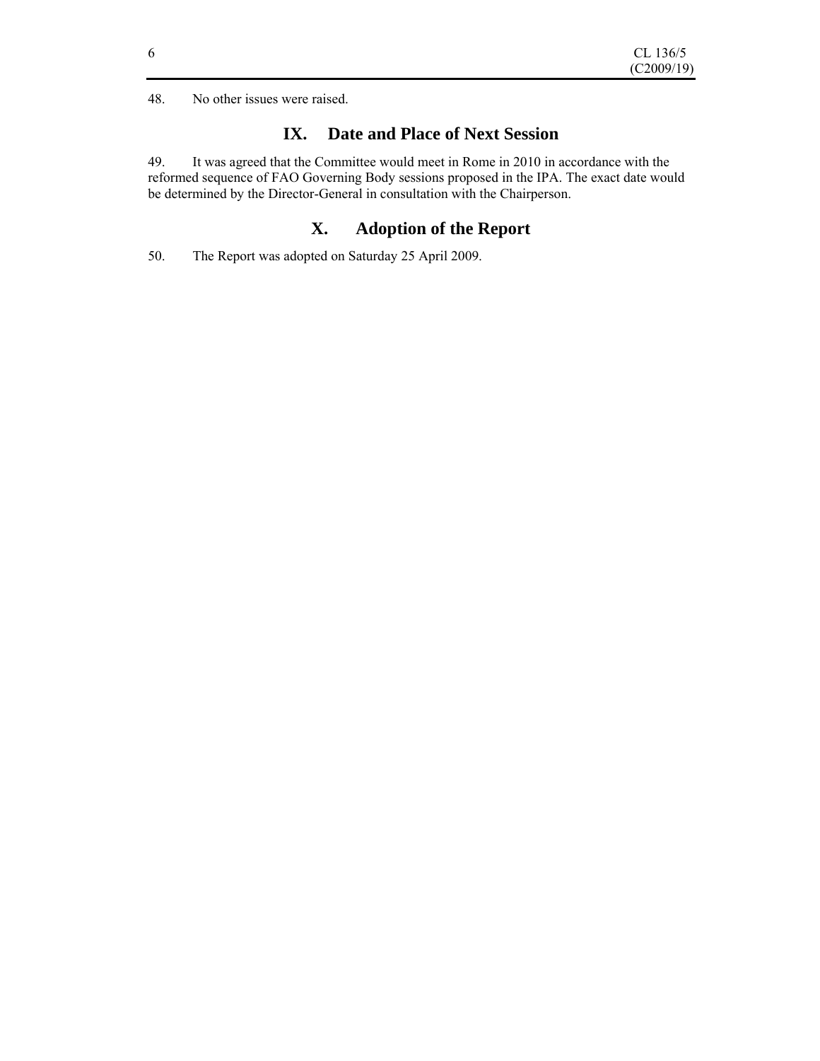48. No other issues were raised.

# **IX. Date and Place of Next Session**

49. It was agreed that the Committee would meet in Rome in 2010 in accordance with the reformed sequence of FAO Governing Body sessions proposed in the IPA. The exact date would be determined by the Director-General in consultation with the Chairperson.

## **X. Adoption of the Report**

50. The Report was adopted on Saturday 25 April 2009.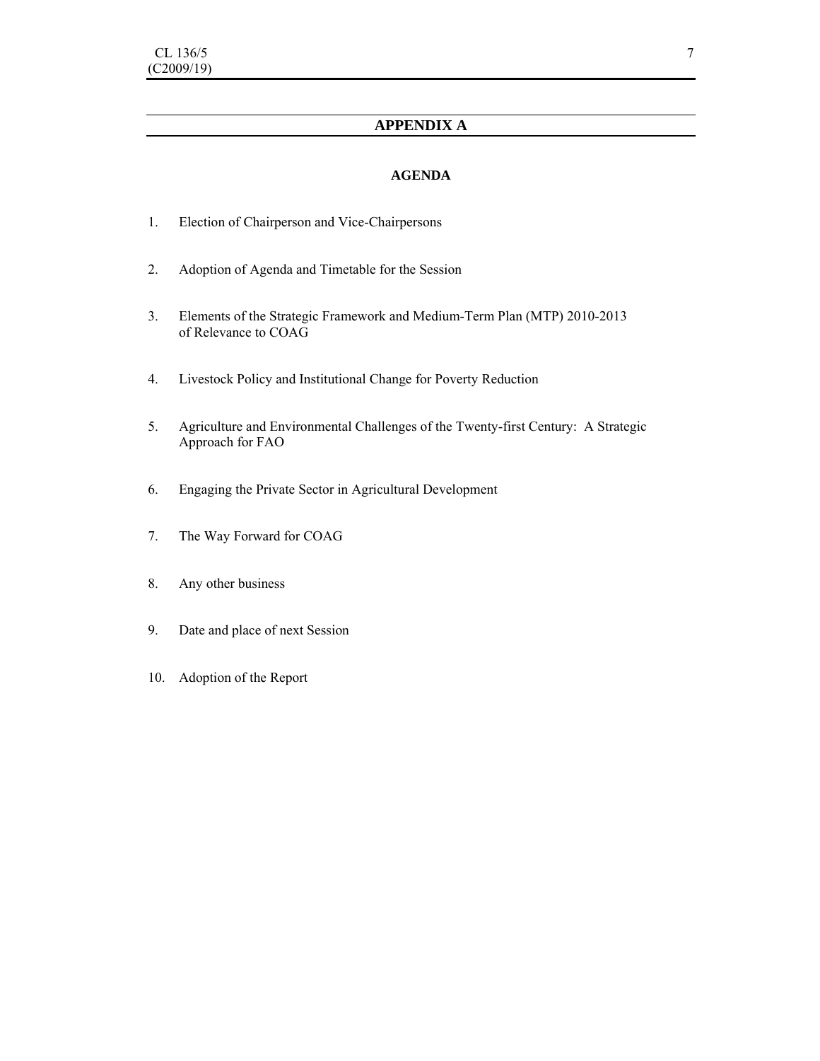## **APPENDIX A**

### **AGENDA**

- 1. Election of Chairperson and Vice-Chairpersons
- 2. Adoption of Agenda and Timetable for the Session
- 3. Elements of the Strategic Framework and Medium-Term Plan (MTP) 2010-2013 of Relevance to COAG
- 4. Livestock Policy and Institutional Change for Poverty Reduction
- 5. Agriculture and Environmental Challenges of the Twenty-first Century: A Strategic Approach for FAO
- 6. Engaging the Private Sector in Agricultural Development
- 7. The Way Forward for COAG
- 8. Any other business
- 9. Date and place of next Session
- 10. Adoption of the Report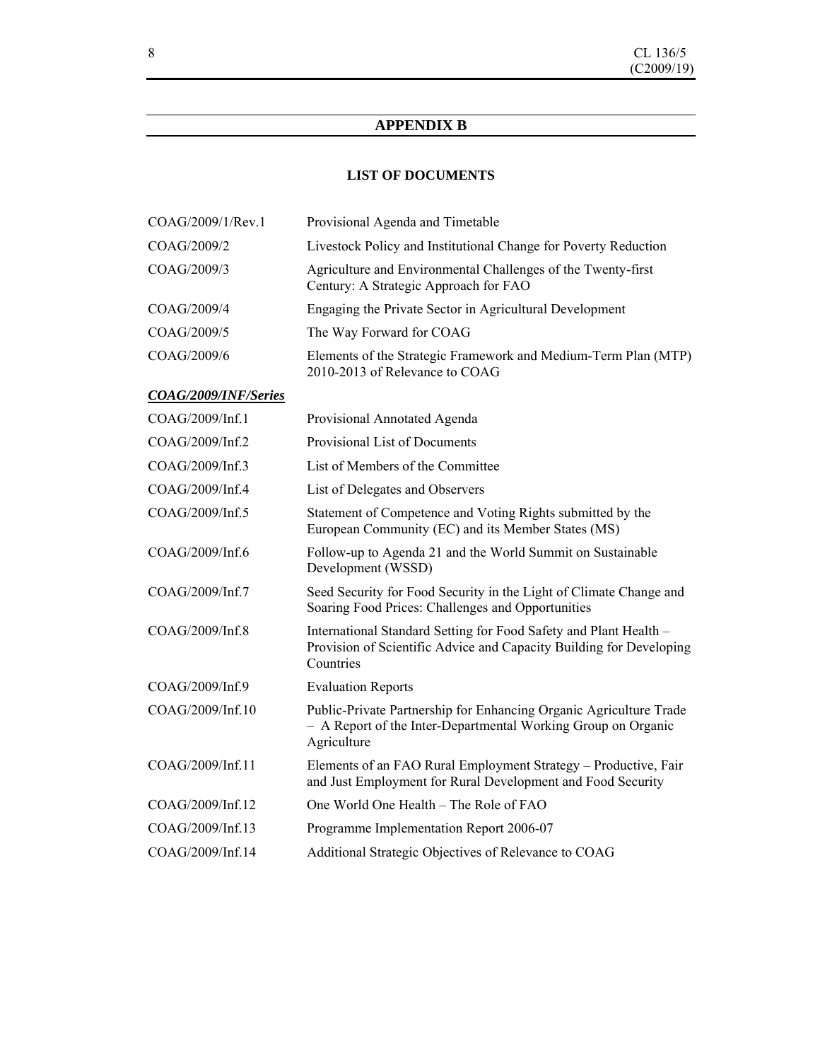## **APPENDIX B**

## **LIST OF DOCUMENTS**

| COAG/2009/1/Rev.1    | Provisional Agenda and Timetable                                                                                                                      |
|----------------------|-------------------------------------------------------------------------------------------------------------------------------------------------------|
| COAG/2009/2          | Livestock Policy and Institutional Change for Poverty Reduction                                                                                       |
| COAG/2009/3          | Agriculture and Environmental Challenges of the Twenty-first<br>Century: A Strategic Approach for FAO                                                 |
| COAG/2009/4          | Engaging the Private Sector in Agricultural Development                                                                                               |
| COAG/2009/5          | The Way Forward for COAG                                                                                                                              |
| COAG/2009/6          | Elements of the Strategic Framework and Medium-Term Plan (MTP)<br>2010-2013 of Relevance to COAG                                                      |
| COAG/2009/INF/Series |                                                                                                                                                       |
| COAG/2009/Inf.1      | Provisional Annotated Agenda                                                                                                                          |
| COAG/2009/Inf.2      | Provisional List of Documents                                                                                                                         |
| COAG/2009/Inf.3      | List of Members of the Committee                                                                                                                      |
| COAG/2009/Inf.4      | List of Delegates and Observers                                                                                                                       |
| COAG/2009/Inf.5      | Statement of Competence and Voting Rights submitted by the<br>European Community (EC) and its Member States (MS)                                      |
| COAG/2009/Inf.6      | Follow-up to Agenda 21 and the World Summit on Sustainable<br>Development (WSSD)                                                                      |
| COAG/2009/Inf.7      | Seed Security for Food Security in the Light of Climate Change and<br>Soaring Food Prices: Challenges and Opportunities                               |
| COAG/2009/Inf.8      | International Standard Setting for Food Safety and Plant Health -<br>Provision of Scientific Advice and Capacity Building for Developing<br>Countries |
| COAG/2009/Inf.9      | <b>Evaluation Reports</b>                                                                                                                             |
| COAG/2009/Inf.10     | Public-Private Partnership for Enhancing Organic Agriculture Trade<br>- A Report of the Inter-Departmental Working Group on Organic<br>Agriculture    |
| COAG/2009/Inf.11     | Elements of an FAO Rural Employment Strategy - Productive, Fair<br>and Just Employment for Rural Development and Food Security                        |
| COAG/2009/Inf.12     | One World One Health - The Role of FAO                                                                                                                |
| COAG/2009/Inf.13     | Programme Implementation Report 2006-07                                                                                                               |
| COAG/2009/Inf.14     | Additional Strategic Objectives of Relevance to COAG                                                                                                  |
|                      |                                                                                                                                                       |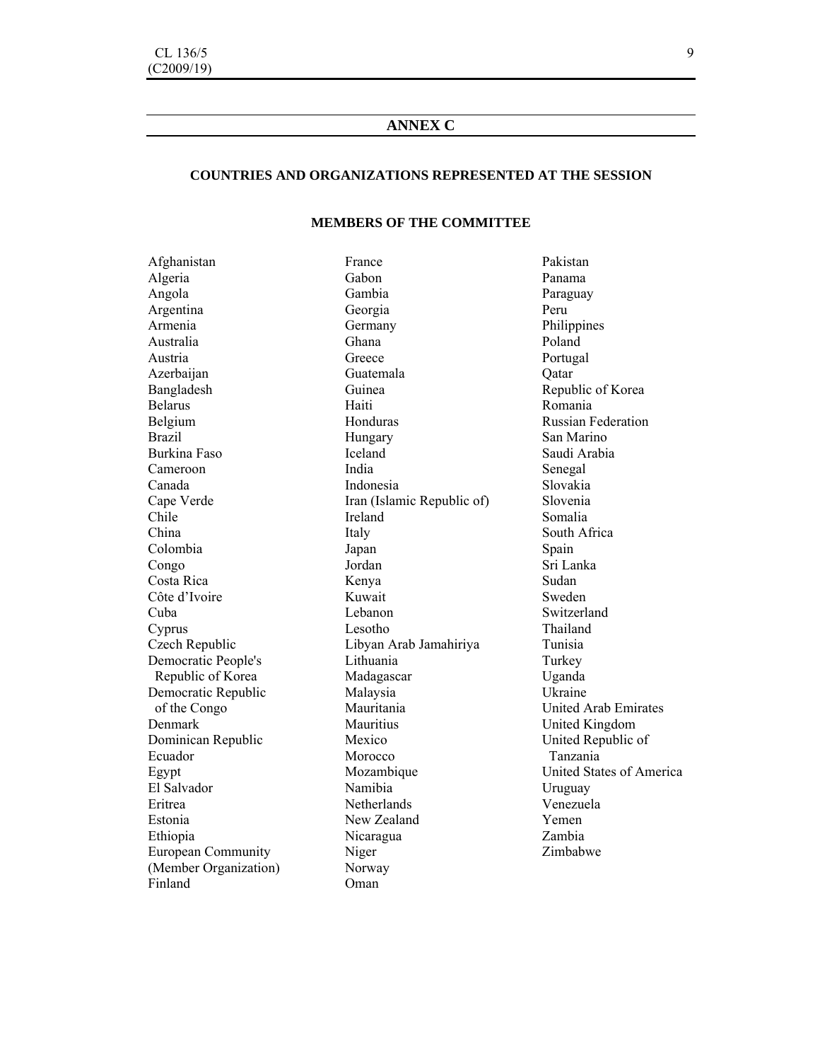## **ANNEX C**

#### **COUNTRIES AND ORGANIZATIONS REPRESENTED AT THE SESSION**

#### **MEMBERS OF THE COMMITTEE**

Afghanistan Algeria Angola Argentina Armenia Australia Austria Azerbaijan Bangladesh Belarus Belgium Brazil Burkina Faso Cameroon Canada Cape Verde Chile China Colombia Congo Costa Rica Côte d'Ivoire Cuba Cyprus Czech Republic Democratic People's Republic of Korea Democratic Republic of the Congo Denmark Dominican Republic Ecuador Egypt El Salvador Eritrea Estonia Ethiopia European Community (Member Organization) Finland

France Gabon Gambia Georgia Germany Ghana Greece Guatemala Guinea Haiti Honduras Hungary Iceland India Indonesia Iran (Islamic Republic of) Ireland Italy Japan Jordan Kenya Kuwait Lebanon Lesotho Libyan Arab Jamahiriya Lithuania Madagascar Malaysia Mauritania **Mauritius** Mexico Morocco Mozambique Namibia **Netherlands** New Zealand Nicaragua Niger Norway Oman

Panama Paraguay Peru Philippines Poland Portugal **O**atar Republic of Korea Romania Russian Federation San Marino Saudi Arabia Senegal Slovakia Slovenia Somalia South Africa Spain Sri Lanka Sudan Sweden Switzerland Thailand Tunisia Turkey Uganda Ukraine United Arab Emirates United Kingdom United Republic of Tanzania United States of America Uruguay Venezuela Yemen Zambia Zimbabwe

Pakistan